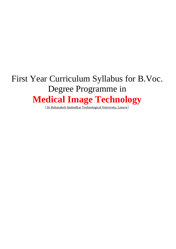# First Year Curriculum Syllabus for B.Voc. Degree Programme in **Medical Image Technology**

([Dr Babasaheb Ambedkar Technological University, Lonere](http://www.dbatuonline.com/page.php?id=100))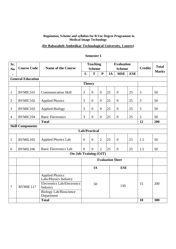### **Regulation, Scheme and syllabus for B.Voc Degree Programme in Medical Image Technology**

# **[\(Dr Babasaheb Ambedkar Technological University, Lonere\)](http://www.dbatuonline.com/page.php?id=100)**

| Sr.            |                          |                                                                                                                                                  |                         | <b>Teaching</b>      |                |    | <b>Evaluation</b> |            |                | <b>Total</b> |
|----------------|--------------------------|--------------------------------------------------------------------------------------------------------------------------------------------------|-------------------------|----------------------|----------------|----|-------------------|------------|----------------|--------------|
| N <sub>0</sub> | <b>Course Code</b>       | <b>Name of the Course</b>                                                                                                                        |                         | <b>Scheme</b>        |                |    | <b>Scheme</b>     |            | <b>Credits</b> | <b>Marks</b> |
|                |                          |                                                                                                                                                  | L                       | T                    | ${\bf P}$      | IA | <b>MSE</b>        | <b>ESE</b> |                |              |
|                | <b>General Education</b> |                                                                                                                                                  |                         |                      |                |    |                   |            |                |              |
|                |                          |                                                                                                                                                  | <b>Theory</b>           |                      |                |    |                   |            |                |              |
| $\mathbf{1}$   | BVMIC101                 | <b>Communication Skill</b>                                                                                                                       | 3                       | $\overline{0}$       | $\overline{0}$ | 25 | $\overline{0}$    | 25         | 3              | 50           |
| $\overline{2}$ | BVMIC102                 | <b>Applied Physics</b>                                                                                                                           | 3                       | $\overline{0}$       | $\overline{0}$ | 25 | $\boldsymbol{0}$  | 25         | $\mathfrak{Z}$ | 50           |
| $\mathfrak{Z}$ | BVMIC103                 | <b>Applied Biology</b>                                                                                                                           | 3                       | $\theta$             | $\theta$       | 25 | $\overline{0}$    | 25         | 3              | 50           |
| $\overline{4}$ | BVMIC104                 | <b>Basic Electronics</b>                                                                                                                         | 3                       | $\overline{0}$       | $\overline{0}$ | 25 | $\overline{0}$    | 25         | 3              | 50           |
|                |                          | <b>Total</b>                                                                                                                                     |                         |                      |                |    |                   |            | 12             | 200          |
|                | <b>Skill Components</b>  |                                                                                                                                                  |                         |                      |                |    |                   |            |                |              |
|                |                          |                                                                                                                                                  |                         | <b>Lab/Practical</b> |                |    |                   |            |                |              |
| 5              | BVMIL105                 | <b>Applied Physics Lab</b>                                                                                                                       | $\overline{0}$          | $\overline{0}$       | $\overline{2}$ | 25 | $\overline{0}$    | 25         | 1.5            | 50           |
| 6              | BVMIL106                 | <b>Basic Electronics Lab</b>                                                                                                                     | $\theta$                | $\overline{0}$       | $\overline{2}$ | 25 | $\boldsymbol{0}$  | 25         | 1.5            | 50           |
|                |                          | <b>On-Job-Training (OJT)</b>                                                                                                                     |                         |                      |                |    |                   |            |                |              |
|                |                          |                                                                                                                                                  | <b>Evaluation Sheet</b> |                      |                |    |                   |            |                |              |
|                |                          |                                                                                                                                                  | IA<br><b>ESE</b>        |                      |                |    |                   |            |                |              |
| $\overline{7}$ | <b>BVMIE 117</b>         | <b>Applied Physics</b><br>Labs/Physics Industry<br><b>Electronics Lab/Electronics</b><br>Industry<br><b>Biology Lab/Bioscience</b><br>Department | 50                      |                      | 150            |    |                   | 15         | 200            |              |
|                |                          | <b>Total</b>                                                                                                                                     |                         |                      |                |    |                   |            | 18             | 300          |

### **Semester I**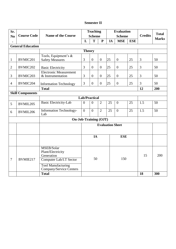### **Semester II**

| Sr.                          |                          | <b>Teaching</b>                       |                      | <b>Evaluation</b> |                  |               |                  |                |              |              |
|------------------------------|--------------------------|---------------------------------------|----------------------|-------------------|------------------|---------------|------------------|----------------|--------------|--------------|
| N <sub>0</sub>               | <b>Course Code</b>       | <b>Name of the Course</b>             | <b>Scheme</b>        |                   |                  | <b>Scheme</b> |                  | <b>Credits</b> | <b>Total</b> |              |
|                              |                          |                                       | L                    | T                 | ${\bf P}$        | IA            | <b>MSE</b>       | <b>ESE</b>     |              | <b>Marks</b> |
|                              | <b>General Education</b> |                                       |                      |                   |                  |               |                  |                |              |              |
|                              |                          |                                       | <b>Theory</b>        |                   |                  |               |                  |                |              |              |
|                              |                          | Tools, Equipment's &                  |                      |                   |                  |               |                  |                |              |              |
| $\mathbf{1}$                 | BVMIC201                 | <b>Safety Measures</b>                | 3                    | $\overline{0}$    | $\overline{0}$   | 25            | $\mathbf{0}$     | 25             | 3            | 50           |
| $\mathbf{2}$                 | BVMIC202                 | <b>Basic Electricity</b>              | 3                    | $\overline{0}$    | $\boldsymbol{0}$ | 25            | $\boldsymbol{0}$ | 25             | 3            | 50           |
|                              |                          | <b>Electronic Measurement</b>         |                      |                   |                  |               |                  |                |              |              |
| 3                            | BVMIC203                 | & Instrumentation                     | $\overline{3}$       | $\overline{0}$    | $\boldsymbol{0}$ | 25            | $\overline{0}$   | 25             | 3            | 50           |
| $\overline{4}$               | BVMIC204                 | <b>Information Technology</b>         | 3                    | $\mathbf{0}$      | $\overline{0}$   | 25            | $\mathbf{0}$     | 25             | 3            | 50           |
|                              |                          | <b>Total</b>                          |                      |                   |                  |               |                  |                | 12           | 200          |
| <b>Skill Components</b>      |                          |                                       |                      |                   |                  |               |                  |                |              |              |
|                              |                          |                                       | <b>Lab/Practical</b> |                   |                  |               |                  |                |              |              |
| 5                            | BVMIL205                 | <b>Basic Electricity-Lab</b>          | $\overline{0}$       | $\overline{0}$    | $\overline{2}$   | 25            | $\overline{0}$   | 25             | 1.5          | 50           |
| 6                            | BVMIL206                 | <b>Information Technology-</b><br>Lab | $\Omega$             | $\overline{0}$    | $\overline{2}$   | 25            | $\theta$         | 25             | 1.5          | 50           |
| <b>On-Job-Training (OJT)</b> |                          |                                       |                      |                   |                  |               |                  |                |              |              |
|                              |                          | <b>Evaluation Sheet</b>               |                      |                   |                  |               |                  |                |              |              |
|                              |                          |                                       |                      |                   |                  |               |                  |                |              |              |
|                              |                          |                                       |                      |                   |                  |               |                  |                |              |              |
|                              |                          |                                       |                      | IA                |                  |               | <b>ESE</b>       |                |              |              |
|                              |                          |                                       |                      |                   |                  |               |                  |                |              |              |
|                              |                          | MSEB/Solar                            |                      |                   |                  |               |                  |                |              |              |
|                              |                          | Plant/Electricity                     |                      |                   |                  |               |                  |                |              |              |
|                              |                          | Generation                            |                      | 50                |                  |               | 150              |                | 15           | 200          |
| 7                            | BVMIE217                 | Computer Lab/I.T Sector               |                      |                   |                  |               |                  |                |              |              |
|                              |                          | <b>Tool Manufacturing</b>             |                      |                   |                  |               |                  |                |              |              |
|                              |                          | Company/Service Centers               |                      |                   |                  |               |                  |                |              |              |
|                              |                          | <b>Total</b>                          |                      |                   |                  |               |                  |                | 18           | 300          |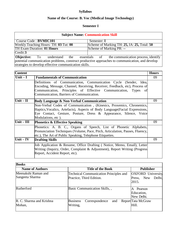# **Syllabus**

# **Name of the Course: B. Voc (Medical Image Technology)**

# **Semester I**

| <b>Subject Name: Communication Skill</b>                                                                                                                 |                                                                                       |  |  |  |
|----------------------------------------------------------------------------------------------------------------------------------------------------------|---------------------------------------------------------------------------------------|--|--|--|
| Course Code: BVMIC101                                                                                                                                    | Semester: I                                                                           |  |  |  |
| Weekly Teaching Hours: TH: 03 Tut: 00                                                                                                                    | Scheme of Marking TH: 25, IA: 25, Total: 50                                           |  |  |  |
| <b>TH Exam Duration: 01 Hours</b>                                                                                                                        | Scheme of Marking PR: --                                                              |  |  |  |
| Credit:3                                                                                                                                                 |                                                                                       |  |  |  |
|                                                                                                                                                          | <b>Objective:</b> To understand the essentials of the communication process, identify |  |  |  |
| potential communication problems, construct productive approaches to communication, and develop<br>strategies to develop effective communication skills. |                                                                                       |  |  |  |

| <b>Content</b> |                                                                                                                                                                                                                                                                    | <b>Hours</b> |
|----------------|--------------------------------------------------------------------------------------------------------------------------------------------------------------------------------------------------------------------------------------------------------------------|--------------|
| $ Unit - I $   | <b>Fundamentals of Communication</b>                                                                                                                                                                                                                               | 09           |
|                | Definitions of Communication, Communication Cycle (Sender, Idea,<br>Encoding, Message, Channel, Receiving, Receiver, Feedback, etc), Process of<br>Communication, Principles of Effective Communication, Types<br>-of<br>Communication, Barriers of Communication. |              |
| Unit $-$ II    | Body Language & Non-Verbal Communication                                                                                                                                                                                                                           | 09           |
|                | Non-Verbal Codes of Communication, (Kinesics, Proxemics, Chronemics,<br>Haptics, Vocalics, Artefacts), Aspects of Body Language (Facial Expressions,<br>Eye Contact, Gesture, Posture, Dress & Appearance, Silence, Voice<br>Modulations, etc).                    |              |
| $Unit - III$   | <b>Phonetics &amp; Effective Speaking</b>                                                                                                                                                                                                                          | 09           |
|                | Phonetics: A. B. C., Organs of Speech, List of Phonetic Alphabets,<br>Pronunciation Techniques (Volume, Pace, Pitch, Articulation, Pauses, Fluency,<br>etc.), The Art of Public Speaking, Telephone Etiquettes.                                                    |              |
| $Unit - IV$    | <b>Drafting Skills</b>                                                                                                                                                                                                                                             | 09           |
|                | Job Application & Resume, Office Drafting (Notice, Memo, Email), Letter<br>Writing (Inquiry, Order, Complaint & Adjustment), Report Writing (Progress<br>Report, Accident Report, etc).                                                                            |              |

| <b>Books</b>                           |                                                                           |                                                              |
|----------------------------------------|---------------------------------------------------------------------------|--------------------------------------------------------------|
| <b>Name of Authors</b>                 | <b>Title of the Book</b>                                                  | <b>Publisher</b>                                             |
| Meenakshi Raman and<br>Sangeeta Sharma | <b>Technical Communication Principles and</b><br>Practice, Third Edition. | <b>OXFORD</b> University<br>New<br>Press,<br>Delhi.<br>2015. |
| Rutherford                             | Basic Communication Skills, ,                                             | A Pearson<br>Education,<br>New Delhi.                        |
| R. C. Sharma and Krishna<br>Mohan,     | <b>Business</b><br>Correspondence<br>and<br>Writing,                      | Report Tata McGraw<br>Hill.                                  |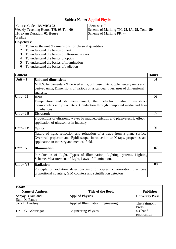### **Subject Name: Applied Physics**

| Course Code : <b>BVMIC102</b>         | Semester: I                                 |
|---------------------------------------|---------------------------------------------|
| Weekly Teaching Hours: TH: 03 Tut: 00 | Scheme of Marking TH: 25, IA: 25, Total: 50 |
| TH Exam Duration: 01 Hours            | Scheme of Marking PR: --                    |
| Credit:3                              |                                             |
| $\sim$                                |                                             |

#### **Objectives:**

- 1. To know the unit  $&$  dimensions for physical quantities
- 2. To understand the basics of heat
- 3. To understand the basics of ultrasonic waves
- 4. To understand the basics of optics
- 5. To understand the basics of illumination
- 6. To understand the basics of radiation

| <b>Content</b>                       |                                                                                                                                                                                                        | <b>Hours</b> |
|--------------------------------------|--------------------------------------------------------------------------------------------------------------------------------------------------------------------------------------------------------|--------------|
| Unit $-I$                            | <b>Unit and dimensions</b>                                                                                                                                                                             | 04           |
|                                      | M.K.S. fundamentals & derived units, S.I. base units supplementary units and<br>derived units, Dimensions of various physical quantities, uses of dimensional<br>analysis.                             |              |
| Unit $-$ II                          | <b>Heat</b>                                                                                                                                                                                            | 06           |
|                                      | Temperature and its measurement, thermoelectric, platinum resistance<br>thermometers and pyrometers. Conduction through compound media and laws<br>of radiations.                                      |              |
| Unit $-$ III                         | <b>Ultrasonic</b>                                                                                                                                                                                      | 05           |
|                                      | Productions of ultrasonic waves by magnetostriction and piezo-electric effect,<br>application of ultrasonics in industry.                                                                              |              |
| $\overline{\text{Unit}} - \text{IV}$ | <b>Optics</b>                                                                                                                                                                                          | 06           |
|                                      | Nature of light, reflection and refraction of a wave from a plane surface.<br>Overhead projector and Epidiascope, introduction to X-rays, properties and<br>application in industry and medical field. |              |
| Unit $-\mathbf{V}$                   | <b>Illumination</b>                                                                                                                                                                                    | 07           |
|                                      | Introduction of Light, Types of illumination, Lighting systems, Lighting<br>Scheme, Measurement of Light, Laws of illumination.                                                                        |              |
| Unit $-VI$                           | <b>Radiation</b>                                                                                                                                                                                       | 08           |
|                                      | Principle of radiation detection-Basic principles of ionization chambers,<br>proportional counters, G.M counters and scintillation detectors.                                                          |              |

| <b>Books</b>                       |                                         |                         |  |  |
|------------------------------------|-----------------------------------------|-------------------------|--|--|
| <b>Name of Authors</b>             | <b>Title of the Book</b>                | <b>Publisher</b>        |  |  |
| Sanjay D Jain and<br>Sunil M Pande | <b>Applied Physics</b>                  | <b>University Press</b> |  |  |
| Jack L. Lindsey                    | <b>Applied Illumination Engineering</b> | The Fairmont<br>Press   |  |  |
| Dr. P.G, Kshirsagar                | <b>Engineering Physics</b>              | S.Chand<br>publication  |  |  |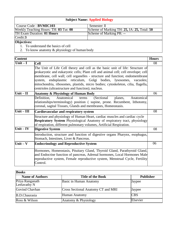# **Subject Name: Applied Biology**

| Course Code : <b>BVMIC103</b>         | Semester: I                                 |
|---------------------------------------|---------------------------------------------|
| Weekly Teaching Hours: TH: 03 Tut: 00 | Scheme of Marking TH: 25, IA: 25, Total: 50 |
| <b>TH Exam Duration: 01 Hours</b>     | Scheme of Marking PR: --                    |
| Credit:3                              |                                             |
| <b>Objectives:</b>                    |                                             |

- 1. To understand the basics of cell
- 2. To know anatomy & physiology of human body

| <b>Content</b> |                                                                                                                                                                                                                                                                                                                                                                                                                                                                    | <b>Hours</b> |
|----------------|--------------------------------------------------------------------------------------------------------------------------------------------------------------------------------------------------------------------------------------------------------------------------------------------------------------------------------------------------------------------------------------------------------------------------------------------------------------------|--------------|
| $Unit - I$     | <b>Cell</b>                                                                                                                                                                                                                                                                                                                                                                                                                                                        | 08           |
|                | The Unit of Life Cell theory and cell as the basic unit of life: Structure of<br>prokaryotic and eukaryotic cells; Plant cell and animal cell; cell envelope; cell<br>membrane, cell wall; cell organelles - structure and function; endomembrane<br>endoplasmic reticulum, Golgi bodies, lysosomes, vacuoles;<br>system,<br>mitochondria, ribosomes, plastids, micro bodies; cytoskeleton, cilia, flagella,<br>centrioles (ultrastructure and function); nucleus. |              |
| $Unit - II$    | <b>Anatomy &amp; Physiology of Human Body</b>                                                                                                                                                                                                                                                                                                                                                                                                                      | 06           |
|                | Definition,<br>Anatomical<br>(Sectional)<br>Anatomical<br>terms<br>planes,<br>relationships/terminology) position (supine, prone. Recumbent, lithotomy,<br>coronal, sagital Tissues, Glands and membranes, Homeostasis.                                                                                                                                                                                                                                            |              |
| $Unit - III$   | Cardiovascular and respiratory system                                                                                                                                                                                                                                                                                                                                                                                                                              | 08           |
|                | Structure and physiology of Human Heart, cardiac muscles and cardiac cycle<br><b>Respiratory System</b> Physiological Anatomy of respiratory tract, physiology<br>of respiration, different pulmonary volumes, Artificial Respiration.                                                                                                                                                                                                                             |              |
| Unit $-$ IV    | <b>Digestive System</b>                                                                                                                                                                                                                                                                                                                                                                                                                                            | 08           |
|                | Introduction, structure and function of digestive organs Pharynx, esophagus,<br>Stomach, Intestines, Liver & Pancreas.                                                                                                                                                                                                                                                                                                                                             |              |
| Unit $-$ V     | <b>Endocrinology and Reproductive System</b>                                                                                                                                                                                                                                                                                                                                                                                                                       | 06           |
|                | Hormones, Homeostasis, Pituitary Gland, Thyroid Gland, Parathyroid Gland,<br>and Endocrine function of pancreas, Adrenal hormones, Local Hormones Male<br>reproductive system, Female reproductive system, Menstrual Cycle, Fertility<br>Control.                                                                                                                                                                                                                  |              |

| <b>Books</b>                    |                                    |                  |  |  |
|---------------------------------|------------------------------------|------------------|--|--|
| <b>Name of Authors</b>          | <b>Title of the Book</b>           | <b>Publisher</b> |  |  |
| Priya Ranganath<br>Leelavathy N | Basic in Human Anatomy             | Jaypee           |  |  |
| Govind Chavhan                  | Cross Sectional Anatomy CT and MRI | Jaypee           |  |  |
| B.D.Chaurasia                   | <b>Human Anatomy</b>               | <b>CBS</b>       |  |  |
| Ross & Wilson                   | Anatomy & Physiology               | Elsevier         |  |  |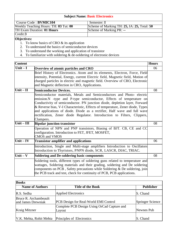| <b>Subject Name: Basic Electronics</b>       |                                             |  |  |
|----------------------------------------------|---------------------------------------------|--|--|
| Course Code: BVMIC104                        | Semester: I                                 |  |  |
| Weekly Teaching Hours: TH: 03 Tut: 00        | Scheme of Marking TH: 25, IA: 25, Total: 50 |  |  |
| <b>TH Exam Duration: 01 Hours</b>            | Scheme of Marking PR: --                    |  |  |
| Credit:3                                     |                                             |  |  |
| Objectives:                                  |                                             |  |  |
| 1. To know basics of CRO $&$ its application |                                             |  |  |

- 2. To understand the basics of semiconductor devices
- 3. To understand the working and application of transistor
- 4. To familiarize with soldering  $&$  de-soldering of electronic devices

| <b>Content</b>                      |                                                                                                                                                                                                                                                                                                                                                                                                                                                                                     | <b>Hours</b> |
|-------------------------------------|-------------------------------------------------------------------------------------------------------------------------------------------------------------------------------------------------------------------------------------------------------------------------------------------------------------------------------------------------------------------------------------------------------------------------------------------------------------------------------------|--------------|
| $\overline{\text{Unit} - \text{I}}$ | Overview of atomic particles and CRO                                                                                                                                                                                                                                                                                                                                                                                                                                                | 06           |
|                                     | Brief History of Electronics. Atom and its elements, Electron, Force, Field<br>intensity, Potential, Energy, current Electric field, Magnetic field, Motion of<br>charged particles in electric and magnetic field. Overview of CRO, Electronic<br>and Magnetic deflection in CRO, Applications.                                                                                                                                                                                    |              |
| Unit $-$ II                         | <b>Semiconductor Devices.</b>                                                                                                                                                                                                                                                                                                                                                                                                                                                       | 08           |
|                                     | Semiconductor materials, Metals and Semiconductors and Photo- electric<br>emission.N -type and P-type semiconductor, Effects of temperature on<br>Conductivity of semiconductor. PN junction diode, depletion layer, Forward<br>& Reverse bias, V-I Characteristic, Effects of temperature, Zener diode, Types<br>and applications of diode. Diode as a rectifier, Half wave and full wave<br>rectification, Zener diode Regulator. Introduction to Filters, Clippers,<br>Clampers. |              |
| $Unit - III$                        | <b>Bipolar junction transistor</b>                                                                                                                                                                                                                                                                                                                                                                                                                                                  | 08           |
|                                     | Operation of NPN and PNP transistors, Biasing of BJT. CB, CE and CC<br>configuration. Introduction to FET, JFET, MOSFET,<br><b>CMOS and VMOS</b>                                                                                                                                                                                                                                                                                                                                    |              |
| Unit $-$ IV                         | <b>Transistor amplifier and applications</b>                                                                                                                                                                                                                                                                                                                                                                                                                                        | 06           |
|                                     | Introduction, Single and Multi-stage amplifiers Introduction to Oscillators<br>Introduction to Thyristors, PNPN diode, SCR, LASCR, DIAC, TRIAC.                                                                                                                                                                                                                                                                                                                                     |              |
| Unit $-$ V                          | <b>Soldering and De-soldering basic components</b>                                                                                                                                                                                                                                                                                                                                                                                                                                  | 08           |
|                                     | Soldering tools, different types of soldering guns related to temperature and<br>wattages, Soldering materials and their grading, soldering and De soldering<br>components on PCB, Safety precautions while Soldering & De soldering, join<br>the PCB track and test, check for continuity of PCB, PCB applications.                                                                                                                                                                |              |

| <b>Books</b>                                |                                                       |                         |
|---------------------------------------------|-------------------------------------------------------|-------------------------|
| <b>Name of Authors</b>                      | <b>Title of the Book</b>                              | <b>Publisher</b>        |
| R.S. Sedha                                  | <b>Applied Electronics</b>                            | S. Chand                |
| Bruce R. Archambeault<br>and James Drewniak | PCB Design for Real-World EMI Control                 | <b>Springer Science</b> |
| Kraig Mitzner                               | Complete PCB Design Using OrCad Capture and<br>Layout | Newnes Pub              |
| V.K. Mehta, Rohit Mehta                     | Principles of Electronics                             | S. Chand                |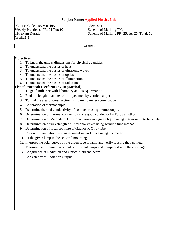| <b>Subject Name: Applied Physics-Lab</b>                                   |  |  |
|----------------------------------------------------------------------------|--|--|
| Course Code : <b>BVMIL105</b><br>Semester: I                               |  |  |
| <b>Weekly Practicals: PR: 02 Tut: 00</b><br>Scheme of Marking TH: --       |  |  |
| Scheme of Marking PR: 25, IA: 25, Total: 50<br><b>TH Exam Duration: --</b> |  |  |
| Credit:1.5                                                                 |  |  |
|                                                                            |  |  |

#### **Content**

### **Objectives:**

- 1. To know the unit  $&$  dimensions for physical quantities
- 2. To understand the basics of heat
- 3. To understand the basics of ultrasonic waves
- 4. To understand the basics of optics
- 5. To understand the basics of illumination
- 6. To understand the basics of radiation

### **List of Practical: (Perform any 10 practical)**

- 1. To get familiarize with laboratory and its equipment's.
- 2. Find the length ,diameter of the specimen by vernier caliper
- 3. To find the area of cross section using micro meter screw gauge
- 4. Calibration of thermocouple
- 5. Determine thermal conductivity of conductor using thermocouple.
- 6. Determination of thermal conductivity of a good conductor by Forbe'smethod
- 7. Determination of Velocity ofUltrasonic waves in a given liquid using Ultrasonic Interferometer
- 8. Determination of wavelength of ultrasonic waves using Kundt's tube method
- 9. Determination of focal spot size of diagnostic X-raytube
- 10. Conduct illumination level assessment in workplace using lux meter.
- 11. Fit the given lamp in the selected mounting.
- 12. Interpret the polar curves of the given type of lamp and verify it using the lux meter
- 13. Measure the illumination output of different lamps and compare it with their wattage.
- 14. Congruence of Radiation and Optical field and beam.
- 15. Consistency of Radiation Output.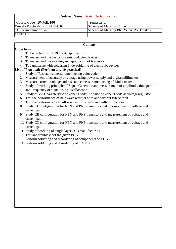| <b>Subject Name: Basic Electronics Lab</b> |                                             |  |
|--------------------------------------------|---------------------------------------------|--|
| Course Code : <b>BVMIL106</b>              | Semester: I                                 |  |
| Weekly Practicals: PR: 02 Tut: 00          | Scheme of Marking TH: --                    |  |
| <b>TH Exam Duration: --</b>                | Scheme of Marking PR: 25, IA: 25, Total: 50 |  |
| Credit:1.5                                 |                                             |  |

#### **Content**

### **Objectives:**

- 1. To know basics of CRO & its application
- 2. To understand the basics of semiconductor devices
- 3. To understand the working and application of transistor
- 4. To familiarize with soldering  $&$  de-soldering of electronic devices

### **List of Practical: (Perform any 10 practical)**

- 1. Study of Resistance measurement using color code
- 2. Measurement of accuracy of voltage using power supply and digital millimeters
- 3. Measure current, voltage and resistance measurement using of Multi-meter
- 4. Study of working principle of Signal Generator and measurement of amplitude, time period and Frequency of signal using Oscilloscope.
- 5. Study of V-I Characteristic of Zener Diode. And use of Zener Diode as voltage regulator.
- 6. Test the performance of half wave rectifier with and without filtercircuit.
- 7. Test the performance of Full wave rectifier with and without filtercircuit.
- 8. Study CE configuration for NPN and PNP transistors and measurement of voltage and current gain.
- 9. Study CB configuration for NPN and PNP transistors and measurement of voltage and current gain.
- 10. Study CC configuration for NPN and PNP transistors and measurement of voltage and current gain.
- 11. Study of working of single layer PCB manufacturing
- 12. Test and troubleshoot the given PCB.
- 13. Perform soldering and disordering of components on PCB
- 14. Perform soldering and disordering of SMD's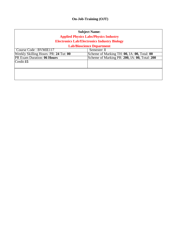# **On-Job-Training (OJT)**

| <b>Subject Name:</b><br><b>Applied Physics Labs/Physics Industry</b><br><b>Electronics Lab/Electronics Industry Biology</b> |                                               |  |  |  |
|-----------------------------------------------------------------------------------------------------------------------------|-----------------------------------------------|--|--|--|
|                                                                                                                             | <b>Lab/Bioscience Department</b>              |  |  |  |
| Course Code: BVMIE117                                                                                                       | Semester: I                                   |  |  |  |
| Weekly Skilling Hours: PR: 24 Tut: 00                                                                                       | Scheme of Marking TH: 00, IA: 00, Total: 00   |  |  |  |
| <b>PR Exam Duration: 06 Hours</b>                                                                                           | Scheme of Marking PR: 200, IA: 00, Total: 200 |  |  |  |
| Credit:15                                                                                                                   |                                               |  |  |  |
|                                                                                                                             |                                               |  |  |  |
|                                                                                                                             |                                               |  |  |  |
|                                                                                                                             |                                               |  |  |  |
|                                                                                                                             |                                               |  |  |  |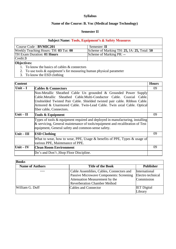# **Syllabus**

# **Name of the Course: B. Voc (Medical Image Technology)**

### **Semester II**

| <b>Subject Name: Tools, Equipment's &amp; Safety Measures</b>          |                                             |  |  |
|------------------------------------------------------------------------|---------------------------------------------|--|--|
| Course Code : BVMIC201                                                 | Semester: II                                |  |  |
| Weekly Teaching Hours: TH: 03 Tut: 00                                  | Scheme of Marking TH: 25, IA: 25, Total: 50 |  |  |
| <b>TH Exam Duration: 01 Hours</b><br>Scheme of Marking PR: --          |                                             |  |  |
| Credit:3                                                               |                                             |  |  |
| Objectives:                                                            |                                             |  |  |
| 1. To know the basics of cables $&$ connectors                         |                                             |  |  |
| 2. To use tools $&$ equipment's for measuring human physical parameter |                                             |  |  |
| 3. To know the ESD clothing                                            |                                             |  |  |

| <b>Content</b> |                                                                                                                                                                                                                                                                                                                          | <b>Hours</b> |
|----------------|--------------------------------------------------------------------------------------------------------------------------------------------------------------------------------------------------------------------------------------------------------------------------------------------------------------------------|--------------|
| Unit $-I$      | <b>Cables &amp; Connectors</b>                                                                                                                                                                                                                                                                                           | 09           |
|                | Non-Metallic Sheathed Cable Un grounded & Grounded Power Supply<br>Cable.Metallic Sheathed Cable.Multi-Conductor Cable. Coaxial Cable.<br>Unshielded Twisted Pair Cable. Shielded twisted pair cable. Ribbon Cable.<br>Armored & Unarmored Cable. Twin-Lead Cable. Twin axial Cable. Optical<br>fiber cable, Connectors. |              |
| Unit $-II$     | Tools & Equipment                                                                                                                                                                                                                                                                                                        | 09           |
|                | Types of tools & equipment required and deployed in manufacturing, installing<br>& servicing, General maintenance of tools/equipment and recalibration of Test<br>equipment, General safety and common-sense safety.                                                                                                     |              |
| $Unit - III$   | <b>ESD Clothing</b>                                                                                                                                                                                                                                                                                                      | 09           |
|                | What to wear, how to wear, PPE, Usage $\&$ benefits of PPE, Types $\&$ usage of<br>various PPE, Maintenance of PPE.                                                                                                                                                                                                      |              |
| Unit $-$ IV    | <b>Clean Room Environment</b>                                                                                                                                                                                                                                                                                            | 09           |
|                | Do's and Don't , Shop Floor Discipline.                                                                                                                                                                                                                                                                                  |              |

| <b>Books</b>           |                                                |                    |  |  |
|------------------------|------------------------------------------------|--------------------|--|--|
| <b>Name of Authors</b> | <b>Title of the Book</b>                       | <b>Publisher</b>   |  |  |
|                        | Cable Assemblies, Cables, Connectors and       | International      |  |  |
|                        | <b>Passive Microwave Components: Screening</b> | Electro technical  |  |  |
|                        | Attenuation Measurement by the                 | Commission         |  |  |
|                        | <b>Reverberation Chamber Method</b>            |                    |  |  |
| William G. Duff        | Cables and Connector                           | <b>IET</b> Digital |  |  |
|                        |                                                | Library            |  |  |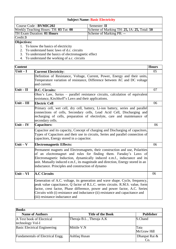### **Subject Name: Basic Electricity**

| Course Code : <b>BVMIC202</b>         | Semester: II                                |
|---------------------------------------|---------------------------------------------|
| Weekly Teaching Hours: TH: 03 Tut: 00 | Scheme of Marking TH: 25, IA: 25, Total: 50 |
| TH Exam Duration: 01 Hours            | Scheme of Marking PR: --                    |
| Credit:3                              |                                             |
| <b>Objectives:</b>                    |                                             |

- 1. To know the basics of electricity
- 2. To understand basic laws of d.c. circuits
- 3. To understand the basics of electromagnetic effect
- 4. To understand the working of a.c. circuits

| <b>Content</b>        |                                                                                                                                                                                                                                                                                                                                                                        | <b>Hours</b> |
|-----------------------|------------------------------------------------------------------------------------------------------------------------------------------------------------------------------------------------------------------------------------------------------------------------------------------------------------------------------------------------------------------------|--------------|
| Unit $-I$             | <b>Current Electricity:</b>                                                                                                                                                                                                                                                                                                                                            | 05           |
|                       | Definition of Resistance, Voltage, Current, Power, Energy and their units,<br>Temperature variation of resistance, Difference between AC and DC voltage<br>and current.                                                                                                                                                                                                |              |
| Unit $-\overline{II}$ | D.C. Circuits:                                                                                                                                                                                                                                                                                                                                                         | 07           |
|                       | Ohm's Law, Series - parallel resistance circuits, calculation of equivalent<br>resistance, Kirchhoff's Laws and their applications.                                                                                                                                                                                                                                    |              |
| $Unit - III$          | <b>Electric Cell</b>                                                                                                                                                                                                                                                                                                                                                   | 06           |
|                       | Primary cell, wet cell, dry cell, battery, Li-ion battery, series and parallel<br>connections of cells, Secondary cells, Lead Acid Cell, Discharging and<br>recharging of cells, preparation of electrolyte, care and maintenance of<br>secondary cells.                                                                                                               |              |
| Unit $-$ IV           | <b>Capacitors:</b>                                                                                                                                                                                                                                                                                                                                                     | 06           |
|                       | Capacitor and its capacity, Concept of charging and Discharging of capacitors,<br>Types of Capacitors and their use in circuits, Series and parallel connection of<br>capacitors, Energy stored in a capacitor.                                                                                                                                                        |              |
| Unit $-$ V            | <b>Electromagnetic Effects:</b>                                                                                                                                                                                                                                                                                                                                        | 06           |
|                       | Permanent magnets and Electromagnets, their construction and use, Polarities<br>of an electromagnet and rules for finding them. Faraday's Laws of<br>Electromagnetic Induction, dynamically induced e.m.f., inductance and its<br>unit. Mutually induced e.m.f., its magnitude and direction, Energy stored in an<br>inductance. Principles and construction of dynamo |              |
| Unit $-VI$            | <b>A.C Circuits</b>                                                                                                                                                                                                                                                                                                                                                    | 06           |
|                       | Generation of A.C. voltage, its generation and wave shape. Cycle, frequency,<br>peak value capacitance, Q factor of R.L.C. series circuits. R.M.S. value, form<br>factor, crest factor, Phase difference, power and power factor, A.C. Series<br>Circuits with (i) resistance and inductance (ii) resistance and capacitance and<br>(iii) resistance inductance and    |              |

| <b>Books</b>                                  |                          |                      |  |
|-----------------------------------------------|--------------------------|----------------------|--|
| <b>Name of Authors</b>                        | <b>Title of the Book</b> | <b>Publisher</b>     |  |
| A Text book of Electrical<br>technology Vol-I | Theraja B.L, Theraja A.K | S.Chand              |  |
| <b>Basic Electrical Engineering</b>           | Mittile V.N              | Tata<br>McGraw Hill  |  |
| <b>Fundamentals of Electrical Engg.</b>       | Ashfaq Husan             | Dhanpat Rai &<br>Co. |  |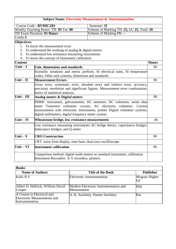# **Subject Name: Electronic Measurement & Instrumentation**

|                                                                                                      | Course Code: BVMIC203                                                                                                         |  |              |
|------------------------------------------------------------------------------------------------------|-------------------------------------------------------------------------------------------------------------------------------|--|--------------|
| Semester: II<br>Scheme of Marking TH: 25, IA: 25, Total: 50<br>Weekly Teaching Hours: TH: 03 Tut: 00 |                                                                                                                               |  |              |
| <b>TH Exam Duration: 01 Hours</b><br>Scheme of Marking PR: --                                        |                                                                                                                               |  |              |
| Credit:3                                                                                             |                                                                                                                               |  |              |
| Objectives:                                                                                          |                                                                                                                               |  |              |
| $1_{-}$                                                                                              | To know the measurement error                                                                                                 |  |              |
| 2.                                                                                                   | To understand the working of analog $\&$ digital meters                                                                       |  |              |
| 3.                                                                                                   | To understand low resistance measuring instruments                                                                            |  |              |
| 4.                                                                                                   | To know the concept of instrument calibration                                                                                 |  |              |
| <b>Content</b>                                                                                       |                                                                                                                               |  | <b>Hours</b> |
| $Unit - I$                                                                                           | Unit, dimensions and standards                                                                                                |  | 06           |
|                                                                                                      | Scientific notations and metric prefixes. SI electrical units, SI temperature                                                 |  |              |
|                                                                                                      | scales, Other unit systems, dimension and standards.                                                                          |  |              |
| Unit $-\overline{II}$                                                                                | <b>Measurement Errors</b>                                                                                                     |  | 06           |
|                                                                                                      |                                                                                                                               |  |              |
|                                                                                                      | Gross error, systematic error, absolute error and relative error, accuracy,                                                   |  |              |
|                                                                                                      | precision, resolution and significant figures, Measurement error combination,                                                 |  |              |
|                                                                                                      | basics of statistical analysis.                                                                                               |  |              |
| $Unit - III$                                                                                         | Analog meters & Digital meters                                                                                                |  | 06           |
|                                                                                                      | PMMC instrument, galvanometer, DC ammeter, DC voltmeter, series ohm                                                           |  |              |
|                                                                                                      | meter Transistor voltmeter circuits, AC electronic voltmeter. Current                                                         |  |              |
|                                                                                                      | measurement with electronic instruments, probes Digital voltmeter systems,                                                    |  |              |
|                                                                                                      | digital millimeters, digital frequency meter system.                                                                          |  |              |
| $Unit - IV$                                                                                          | Wheatstone bridge, low resistance measurements                                                                                |  | 06           |
|                                                                                                      | Low resistance measuring instruments AC bridge theory, capacitance bridges,                                                   |  |              |
|                                                                                                      | Inductance bridges, and Q meter.                                                                                              |  |              |
| Unit $-$ V                                                                                           | <b>CRO Construction</b>                                                                                                       |  | 06           |
|                                                                                                      | CRT, wave form display, time base, dual trace oscilloscope.                                                                   |  |              |
| $Unit - VI$                                                                                          | <b>Instrument calibration</b>                                                                                                 |  | 06           |
|                                                                                                      | Comparison method, digital multi-meters as standard instrument, calibration<br>Instrument Recorders: X-Y recorders, plotters. |  |              |

| <b>Books</b>                                                                 |                                                      |                     |
|------------------------------------------------------------------------------|------------------------------------------------------|---------------------|
| <b>Name of Authors</b>                                                       | <b>Title of the Book</b>                             | <b>Publisher</b>    |
| Kalsi H S                                                                    | Electronic Instrumentation                           | Mcgraw Higher<br>Ed |
| Albert D. Helfrick, William David<br>Cooper                                  | Modern Electronic Instrumentation and<br>Measurement | PHI                 |
| A Course in Electrical and<br>Electronic Measurements and<br>Instrumentation | A. K. Sawhney, Puneet Sawhney                        | Rai                 |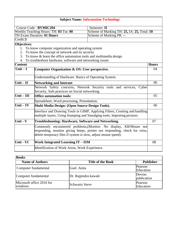| <b>Subject Name: Information Technology</b>                   |                                                                                                                                                                                                                   |                                             |              |
|---------------------------------------------------------------|-------------------------------------------------------------------------------------------------------------------------------------------------------------------------------------------------------------------|---------------------------------------------|--------------|
|                                                               | Course Code: BVMIC204                                                                                                                                                                                             | Semester: II                                |              |
|                                                               | Weekly Teaching Hours: TH: 03 Tut: 00                                                                                                                                                                             | Scheme of Marking TH: 25, IA: 25, Total: 50 |              |
| <b>TH Exam Duration: 01 Hours</b><br>Scheme of Marking PR: -- |                                                                                                                                                                                                                   |                                             |              |
| Credit:3                                                      |                                                                                                                                                                                                                   |                                             |              |
| Objectives:                                                   |                                                                                                                                                                                                                   |                                             |              |
| 1.                                                            | To know computer organization and operating system                                                                                                                                                                |                                             |              |
| 2.                                                            | To know the concept of network and its security                                                                                                                                                                   |                                             |              |
| 3.                                                            | To know & learn the office automation tools and multimedia design                                                                                                                                                 |                                             |              |
| 4.                                                            | To troubleshoot hardware, software and networking issues                                                                                                                                                          |                                             |              |
| <b>Content</b>                                                |                                                                                                                                                                                                                   |                                             | <b>Hours</b> |
| $\overline{\text{Unit} - \text{I}}$                           | Computer Organization & OS: User perspective.                                                                                                                                                                     |                                             | 04           |
|                                                               | Understanding of Hardware. Basics of Operating System.                                                                                                                                                            |                                             |              |
| $Unit - II$                                                   | <b>Networking and Internet</b>                                                                                                                                                                                    |                                             | 06           |
|                                                               | Network Safety concerns, Network Security tools and services, Cyber                                                                                                                                               |                                             |              |
|                                                               | Security, Safe practices on Social networking.                                                                                                                                                                    |                                             |              |
| $\overline{\text{Unit} - \text{III}}$                         | <b>Office automation tools:</b>                                                                                                                                                                                   |                                             | 05           |
|                                                               | Spreadsheet, Word processing, Presentation.                                                                                                                                                                       |                                             |              |
| $Unit - IV$                                                   | Multi Media Design: (Open Source Design Tools).                                                                                                                                                                   |                                             | 06           |
|                                                               | Interface and Drawing Tools in GIMP, Applying Filters, Creating and handling                                                                                                                                      |                                             |              |
|                                                               | multiple layers, Using Stamping and Smudging tools, Importing pictures.                                                                                                                                           |                                             |              |
| Unit - V                                                      | <b>Troubleshooting: Hardware, Software and Networking.</b>                                                                                                                                                        |                                             | 07           |
|                                                               | Commonly encountered problems, (Monitor: No display, KB/Mouse not<br>responding, monitor giving beeps, printer not responding, check for virus,<br>delete temporary files if system is slow, adjust mouse speed). |                                             |              |
| Unit - VI                                                     | <b>Work Integrated Learning IT - ISM</b>                                                                                                                                                                          |                                             | 08           |
|                                                               | Identification of Work Areas, Work Experience.                                                                                                                                                                    |                                             |              |

| <b>Books</b>                         |                          |                       |  |
|--------------------------------------|--------------------------|-----------------------|--|
| <b>Name of Authors</b>               | <b>Title of the Book</b> | <b>Publisher</b>      |  |
| Computer fundamental                 | Goel .Anita              | Pearson<br>Education  |  |
| Computer fundamental                 | Dr. Rajjendra kawale     | Devrao<br>publication |  |
| Microsoft office 2010 for<br>windows | Schwartz Steve           | Pearson<br>Education  |  |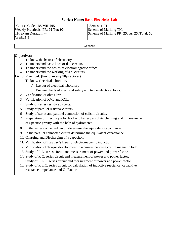### **Subject Name: Basic Electricity-Lab**

| Course Code : <b>BVMIL205</b>     | Semester: II                                |
|-----------------------------------|---------------------------------------------|
| Weekly Practicals: PR: 02 Tut: 00 | Scheme of Marking TH: --                    |
| <b>TH Exam Duration: --</b>       | Scheme of Marking PR: 25, IA: 25, Total: 50 |
| Credit:1.5                        |                                             |

#### **Content**

### **Objectives:**

- 1. To know the basics of electricity
- 2. To understand basic laws of d.c. circuits
- 3. To understand the basics of electromagnetic effect
- 4. To understand the working of a.c. circuits

### **List of Practical: (Perform any 10practical)**

- 1. To know electrical laboratory
	- a) Layout of electrical laboratory
	- b) Prepare charts of electrical safety and to use electrical tools.
- 2. Verification of ohms law.
- 3. Verification of KVL and KCL.
- 4. Study of series resistive circuits.
- 5. Study of parallel resistive circuits.
- 6. Study of series and parallel connection of cells in circuits.
- 7. Preparation of Electrolyte for lead acid battery a n d its charging and measurement of Specific gravity with the help of hydrometer.
- 8. In the series connected circuit determine the equivalent capacitance.
- 9. In the parallel connected circuit determine the equivalent capacitance.
- 10. Charging and Discharging of a capacitor.
- 11. Verification of Faraday's Laws of electromagnetic induction.
- 12. Verification of Torque development in a current carrying coil in magnetic field.
- 13. Study of R.L. series circuit and measurement of power and power factor.
- 14. Study of R.C. series circuit and measurement of power and power factor.
- 15. Study of R.L.C. series circuit and measurement of power and power factor.
- 16. Study of R.L.C. series circuit for calculation of inductive reactance, capacitive reactance, impedance and Q- Factor.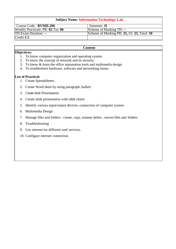### **Subject Name: Information Technology-Lab**

| Course Code : <b>BVMIL206</b>     | Semester: II                                |
|-----------------------------------|---------------------------------------------|
| Weekly Practicals: PR: 02 Tut: 00 | Scheme of Marking TH: --                    |
| <b>TH Exam Duration: --</b>       | Scheme of Marking PR: 25, IA: 25, Total: 50 |
| Credit:1.5                        |                                             |

#### **Content**

### **Objectives:**

- 1. To know computer organization and operating system
- 2. To know the concept of network and its security
- 3. To know & learn the office automation tools and multimedia design
- 4. To troubleshoot hardware, software and networking issues

### **List of Practical:**

- 1. Create Spreadsheets.
- 2. Create Word sheet by using paragraph ,bullets
- 3. Createslide Presentation.
- 4. Create slide presentation with table charts
- 5. Identify various input/output devices, connection of computer system.
- 6. Multimedia Design
- 7. Manage files and folders : create, copy, rename delete , moves files and folders
- 8. Troubleshooting
- 9. Use internet for different wed services.
- 10. Configure internet connection.